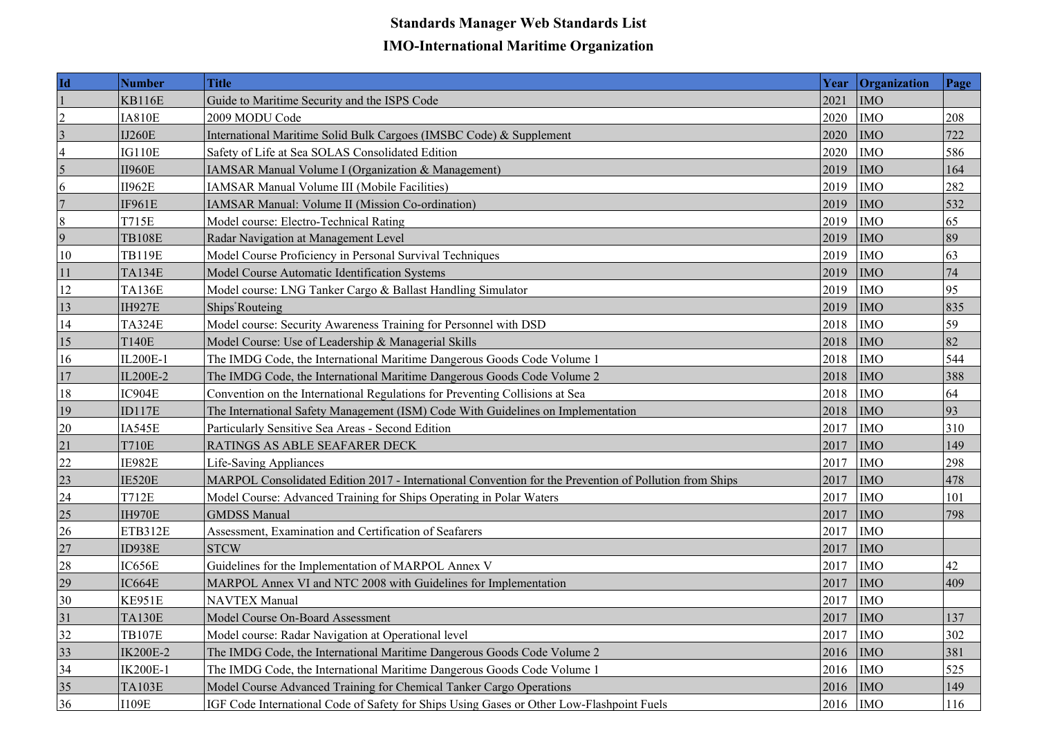## **Standards Manager Web Standards List IMO-International Maritime Organization**

| Id              | <b>Number</b>   | <b>Title</b>                                                                                           | Year      | <b>Organization</b> | Page |
|-----------------|-----------------|--------------------------------------------------------------------------------------------------------|-----------|---------------------|------|
|                 | <b>KB116E</b>   | Guide to Maritime Security and the ISPS Code                                                           | 2021      | <b>IMO</b>          |      |
| $\overline{c}$  | <b>IA810E</b>   | 2009 MODU Code                                                                                         | 2020      | <b>IMO</b>          | 208  |
| $\vert 3 \vert$ | <b>IJ260E</b>   | International Maritime Solid Bulk Cargoes (IMSBC Code) & Supplement                                    | 2020      | <b>IMO</b>          | 722  |
| $\overline{4}$  | <b>IG110E</b>   | Safety of Life at Sea SOLAS Consolidated Edition                                                       | 2020      | <b>IMO</b>          | 586  |
| $\vert 5 \vert$ | <b>II960E</b>   | <b>IAMSAR Manual Volume I (Organization &amp; Management)</b>                                          | 2019      | <b>IMO</b>          | 164  |
| 6               | <b>II962E</b>   | IAMSAR Manual Volume III (Mobile Facilities)                                                           | 2019      | <b>IMO</b>          | 282  |
| 7               | <b>IF961E</b>   | IAMSAR Manual: Volume II (Mission Co-ordination)                                                       | 2019      | <b>IMO</b>          | 532  |
| $\vert 8 \vert$ | <b>T715E</b>    | Model course: Electro-Technical Rating                                                                 | 2019      | <b>IMO</b>          | 65   |
| $\vert 9 \vert$ | <b>TB108E</b>   | Radar Navigation at Management Level                                                                   | 2019      | <b>IMO</b>          | 89   |
| 10              | <b>TB119E</b>   | Model Course Proficiency in Personal Survival Techniques                                               | 2019      | <b>IMO</b>          | 63   |
| 11              | <b>TA134E</b>   | Model Course Automatic Identification Systems                                                          | 2019      | <b>IMO</b>          | 74   |
| 12              | <b>TA136E</b>   | Model course: LNG Tanker Cargo & Ballast Handling Simulator                                            | 2019      | <b>IMO</b>          | 95   |
| 13              | <b>IH927E</b>   | Ships'Routeing                                                                                         | 2019      | <b>IMO</b>          | 835  |
| 14              | <b>TA324E</b>   | Model course: Security Awareness Training for Personnel with DSD                                       | 2018      | <b>IMO</b>          | 59   |
| 15              | <b>T140E</b>    | Model Course: Use of Leadership & Managerial Skills                                                    | 2018      | <b>IMO</b>          | 82   |
| 16              | IL200E-1        | The IMDG Code, the International Maritime Dangerous Goods Code Volume 1                                | 2018      | <b>IMO</b>          | 544  |
| 17              | IL200E-2        | The IMDG Code, the International Maritime Dangerous Goods Code Volume 2                                | 2018      | <b>IMO</b>          | 388  |
| 18              | IC904E          | Convention on the International Regulations for Preventing Collisions at Sea                           | 2018      | <b>IMO</b>          | 64   |
| 19              | ID117E          | The International Safety Management (ISM) Code With Guidelines on Implementation                       | 2018      | <b>IMO</b>          | 93   |
| 20              | IA545E          | Particularly Sensitive Sea Areas - Second Edition                                                      | 2017      | <b>IMO</b>          | 310  |
| 21              | <b>T710E</b>    | RATINGS AS ABLE SEAFARER DECK                                                                          | 2017      | <b>IMO</b>          | 149  |
| 22              | IE982E          | <b>Life-Saving Appliances</b>                                                                          | 2017      | <b>IMO</b>          | 298  |
| 23              | IE520E          | MARPOL Consolidated Edition 2017 - International Convention for the Prevention of Pollution from Ships | 2017      | <b>IMO</b>          | 478  |
| 24              | <b>T712E</b>    | Model Course: Advanced Training for Ships Operating in Polar Waters                                    | 2017      | <b>IMO</b>          | 101  |
| 25              | <b>IH970E</b>   | <b>GMDSS Manual</b>                                                                                    | 2017      | <b>IMO</b>          | 798  |
| 26              | ETB312E         | Assessment, Examination and Certification of Seafarers                                                 | 2017      | <b>IMO</b>          |      |
| 27              | ID938E          | <b>STCW</b>                                                                                            | 2017      | <b>IMO</b>          |      |
| 28              | IC656E          | Guidelines for the Implementation of MARPOL Annex V                                                    | 2017      | <b>IMO</b>          | 42   |
| 29              | IC664E          | MARPOL Annex VI and NTC 2008 with Guidelines for Implementation                                        | 2017      | <b>IMO</b>          | 409  |
| 30              | KE951E          | <b>NAVTEX Manual</b>                                                                                   | 2017      | <b>IMO</b>          |      |
| 31              | <b>TA130E</b>   | Model Course On-Board Assessment                                                                       | $2017$ MO |                     | 137  |
| 32              | <b>TB107E</b>   | Model course: Radar Navigation at Operational level                                                    | 2017      | <b>IMO</b>          | 302  |
| 33              | <b>IK200E-2</b> | The IMDG Code, the International Maritime Dangerous Goods Code Volume 2                                | 2016      | <b>IMO</b>          | 381  |
| 34              | <b>IK200E-1</b> | The IMDG Code, the International Maritime Dangerous Goods Code Volume 1                                | 2016      | <b>IMO</b>          | 525  |
| 35              | <b>TA103E</b>   | Model Course Advanced Training for Chemical Tanker Cargo Operations                                    | 2016      | <b>IMO</b>          | 149  |
| 36              | <b>I109E</b>    | IGF Code International Code of Safety for Ships Using Gases or Other Low-Flashpoint Fuels              | $2016$ MO |                     | 116  |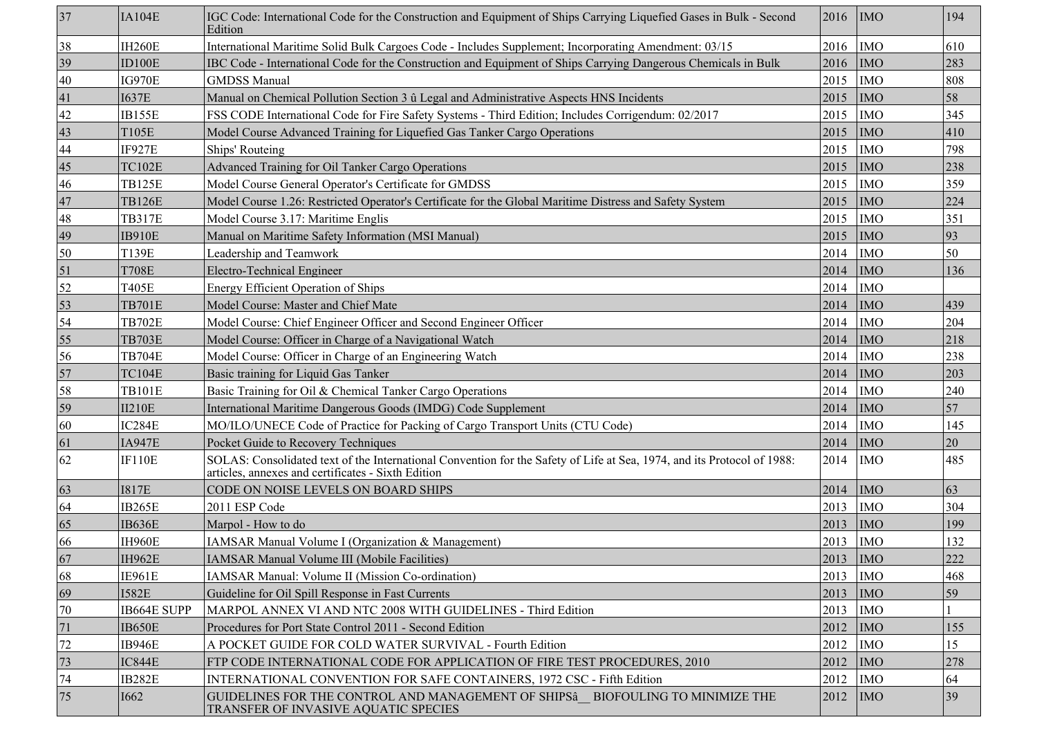| 37               | IA104E        | IGC Code: International Code for the Construction and Equipment of Ships Carrying Liquefied Gases in Bulk - Second<br>Edition                                                 | 2016      | <b>IMO</b> | 194 |
|------------------|---------------|-------------------------------------------------------------------------------------------------------------------------------------------------------------------------------|-----------|------------|-----|
| 38               | <b>IH260E</b> | International Maritime Solid Bulk Cargoes Code - Includes Supplement; Incorporating Amendment: 03/15                                                                          | 2016      | <b>IMO</b> | 610 |
| 39               | ID100E        | IBC Code - International Code for the Construction and Equipment of Ships Carrying Dangerous Chemicals in Bulk                                                                | 2016      | <b>IMO</b> | 283 |
| 40               | <b>IG970E</b> | <b>GMDSS Manual</b>                                                                                                                                                           | 2015      | <b>IMO</b> | 808 |
| 41               | <b>I637E</b>  | Manual on Chemical Pollution Section 3 û Legal and Administrative Aspects HNS Incidents                                                                                       | 2015      | <b>IMO</b> | 58  |
| 42               | IB155E        | FSS CODE International Code for Fire Safety Systems - Third Edition; Includes Corrigendum: 02/2017                                                                            | 2015      | <b>IMO</b> | 345 |
| 43               | T105E         | Model Course Advanced Training for Liquefied Gas Tanker Cargo Operations                                                                                                      | 2015      | <b>IMO</b> | 410 |
| 44               | IF927E        | Ships' Routeing                                                                                                                                                               | 2015      | <b>IMO</b> | 798 |
| 45               | <b>TC102E</b> | <b>Advanced Training for Oil Tanker Cargo Operations</b>                                                                                                                      | 2015      | <b>IMO</b> | 238 |
| 46               | <b>TB125E</b> | Model Course General Operator's Certificate for GMDSS                                                                                                                         | 2015      | <b>IMO</b> | 359 |
| 47               | <b>TB126E</b> | Model Course 1.26: Restricted Operator's Certificate for the Global Maritime Distress and Safety System                                                                       | 2015      | <b>IMO</b> | 224 |
| 48               | <b>TB317E</b> | Model Course 3.17: Maritime Englis                                                                                                                                            | 2015      | <b>IMO</b> | 351 |
| 49               | <b>IB910E</b> | Manual on Maritime Safety Information (MSI Manual)                                                                                                                            | 2015      | <b>IMO</b> | 93  |
| 50               | T139E         | Leadership and Teamwork                                                                                                                                                       | 2014      | <b>IMO</b> | 50  |
| $\vert 51 \vert$ | <b>T708E</b>  | Electro-Technical Engineer                                                                                                                                                    | 2014      | <b>IMO</b> | 136 |
| 52               | T405E         | <b>Energy Efficient Operation of Ships</b>                                                                                                                                    | 2014      | <b>IMO</b> |     |
| 53               | <b>TB701E</b> | Model Course: Master and Chief Mate                                                                                                                                           | 2014      | <b>IMO</b> | 439 |
| 54               | <b>TB702E</b> | Model Course: Chief Engineer Officer and Second Engineer Officer                                                                                                              | 2014      | <b>IMO</b> | 204 |
| 55               | <b>TB703E</b> | Model Course: Officer in Charge of a Navigational Watch                                                                                                                       | 2014      | <b>IMO</b> | 218 |
| 56               | <b>TB704E</b> | Model Course: Officer in Charge of an Engineering Watch                                                                                                                       | 2014      | <b>IMO</b> | 238 |
| 57               | <b>TC104E</b> | Basic training for Liquid Gas Tanker                                                                                                                                          | 2014      | <b>IMO</b> | 203 |
| 58               | <b>TB101E</b> | Basic Training for Oil & Chemical Tanker Cargo Operations                                                                                                                     | 2014      | <b>IMO</b> | 240 |
| 59               | <b>II210E</b> | International Maritime Dangerous Goods (IMDG) Code Supplement                                                                                                                 | 2014      | <b>IMO</b> | 57  |
| 60               | IC284E        | MO/ILO/UNECE Code of Practice for Packing of Cargo Transport Units (CTU Code)                                                                                                 | 2014      | <b>IMO</b> | 145 |
| 61               | <b>IA947E</b> | Pocket Guide to Recovery Techniques                                                                                                                                           | 2014      | <b>IMO</b> | 20  |
| 62               | <b>IF110E</b> | SOLAS: Consolidated text of the International Convention for the Safety of Life at Sea, 1974, and its Protocol of 1988:<br>articles, annexes and certificates - Sixth Edition | 2014      | <b>IMO</b> | 485 |
| 63               | <b>I817E</b>  | CODE ON NOISE LEVELS ON BOARD SHIPS                                                                                                                                           | 2014      | <b>IMO</b> | 63  |
| 64               | IB265E        | 2011 ESP Code                                                                                                                                                                 | 2013      | <b>IMO</b> | 304 |
| 65               | IB636E        | Marpol - How to do                                                                                                                                                            | 2013      | <b>IMO</b> | 199 |
| 66               | <b>IH960E</b> | IAMSAR Manual Volume I (Organization & Management)                                                                                                                            | 2013      | <b>IMO</b> | 132 |
| 67               | IH962E        | IAMSAR Manual Volume III (Mobile Facilities)                                                                                                                                  | $2013$ MO |            | 222 |
| 68               | IE961E        | IAMSAR Manual: Volume II (Mission Co-ordination)                                                                                                                              | 2013      | <b>IMO</b> | 468 |
| 69               | <b>I582E</b>  | Guideline for Oil Spill Response in Fast Currents                                                                                                                             | 2013      | <b>IMO</b> | 59  |
| 70               | IB664E SUPP   | MARPOL ANNEX VI AND NTC 2008 WITH GUIDELINES - Third Edition                                                                                                                  | 2013      | <b>IMO</b> |     |
| 71               | <b>IB650E</b> | Procedures for Port State Control 2011 - Second Edition                                                                                                                       | 2012      | <b>IMO</b> | 155 |
| 72               | IB946E        | A POCKET GUIDE FOR COLD WATER SURVIVAL - Fourth Edition                                                                                                                       | 2012      | <b>IMO</b> | 15  |
| 73               | IC844E        | FTP CODE INTERNATIONAL CODE FOR APPLICATION OF FIRE TEST PROCEDURES, 2010                                                                                                     | 2012      | <b>IMO</b> | 278 |
| 74               | IB282E        | INTERNATIONAL CONVENTION FOR SAFE CONTAINERS, 1972 CSC - Fifth Edition                                                                                                        | 2012      | <b>IMO</b> | 64  |
| 75               | <b>I662</b>   | GUIDELINES FOR THE CONTROL AND MANAGEMENT OF SHIPSÂ BIOFOULING TO MINIMIZE THE<br>TRANSFER OF INVASIVE AQUATIC SPECIES                                                        | 2012      | <b>IMO</b> | 39  |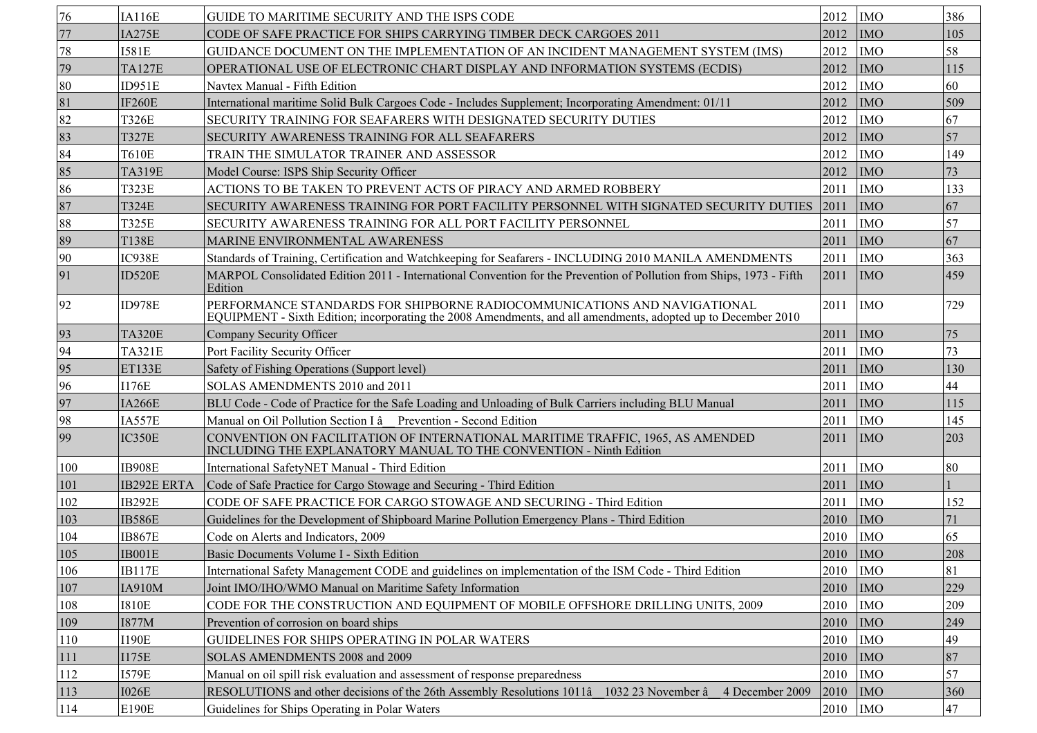| 76  | <b>IA116E</b>      | GUIDE TO MARITIME SECURITY AND THE ISPS CODE                                                                                                                                              | 2012        | <b>IMO</b> | 386             |
|-----|--------------------|-------------------------------------------------------------------------------------------------------------------------------------------------------------------------------------------|-------------|------------|-----------------|
| 77  | <b>IA275E</b>      | CODE OF SAFE PRACTICE FOR SHIPS CARRYING TIMBER DECK CARGOES 2011                                                                                                                         | 2012        | <b>IMO</b> | 105             |
| 78  | <b>I581E</b>       | GUIDANCE DOCUMENT ON THE IMPLEMENTATION OF AN INCIDENT MANAGEMENT SYSTEM (IMS)                                                                                                            | 2012        | <b>IMO</b> | 58              |
| 79  | <b>TA127E</b>      | OPERATIONAL USE OF ELECTRONIC CHART DISPLAY AND INFORMATION SYSTEMS (ECDIS)                                                                                                               | 2012        | <b>IMO</b> | 115             |
| 80  | ID951E             | Navtex Manual - Fifth Edition                                                                                                                                                             | 2012        | <b>IMO</b> | 60              |
| 81  | <b>IF260E</b>      | International maritime Solid Bulk Cargoes Code - Includes Supplement; Incorporating Amendment: 01/11                                                                                      | 2012        | <b>IMO</b> | 509             |
| 82  | <b>T326E</b>       | SECURITY TRAINING FOR SEAFARERS WITH DESIGNATED SECURITY DUTIES                                                                                                                           | 2012        | <b>IMO</b> | 67              |
| 83  | <b>T327E</b>       | SECURITY AWARENESS TRAINING FOR ALL SEAFARERS                                                                                                                                             | 2012        | <b>IMO</b> | $\overline{57}$ |
| 84  | <b>T610E</b>       | TRAIN THE SIMULATOR TRAINER AND ASSESSOR                                                                                                                                                  | 2012        | <b>IMO</b> | 149             |
| 85  | <b>TA319E</b>      | Model Course: ISPS Ship Security Officer                                                                                                                                                  | 2012        | <b>IMO</b> | 73              |
| 86  | <b>T323E</b>       | ACTIONS TO BE TAKEN TO PREVENT ACTS OF PIRACY AND ARMED ROBBERY                                                                                                                           | 2011        | <b>IMO</b> | 133             |
| 87  | T324E              | SECURITY AWARENESS TRAINING FOR PORT FACILITY PERSONNEL WITH SIGNATED SECURITY DUTIES                                                                                                     | 2011        | <b>IMO</b> | 67              |
| 88  | <b>T325E</b>       | SECURITY AWARENESS TRAINING FOR ALL PORT FACILITY PERSONNEL                                                                                                                               | 2011        | <b>IMO</b> | 57              |
| 89  | <b>T138E</b>       | MARINE ENVIRONMENTAL AWARENESS                                                                                                                                                            | 2011        | <b>IMO</b> | 67              |
| 90  | IC938E             | Standards of Training, Certification and Watchkeeping for Seafarers - INCLUDING 2010 MANILA AMENDMENTS                                                                                    | 2011        | <b>IMO</b> | 363             |
| 91  | ID520E             | MARPOL Consolidated Edition 2011 - International Convention for the Prevention of Pollution from Ships, 1973 - Fifth<br>Edition                                                           | 2011        | <b>IMO</b> | 459             |
| 92  | <b>ID978E</b>      | PERFORMANCE STANDARDS FOR SHIPBORNE RADIOCOMMUNICATIONS AND NAVIGATIONAL<br>EQUIPMENT - Sixth Edition; incorporating the 2008 Amendments, and all amendments, adopted up to December 2010 | 2011        | <b>IMO</b> | 729             |
| 93  | <b>TA320E</b>      | Company Security Officer                                                                                                                                                                  | 2011        | <b>IMO</b> | 75              |
| 94  | <b>TA321E</b>      | Port Facility Security Officer                                                                                                                                                            | 2011        | <b>IMO</b> | 73              |
| 95  | ET133E             | Safety of Fishing Operations (Support level)                                                                                                                                              | 2011        | <b>IMO</b> | 130             |
| 96  | <b>I176E</b>       | SOLAS AMENDMENTS 2010 and 2011                                                                                                                                                            | 2011        | <b>IMO</b> | 44              |
| 97  | <b>IA266E</b>      | BLU Code - Code of Practice for the Safe Loading and Unloading of Bulk Carriers including BLU Manual                                                                                      | 2011        | <b>IMO</b> | 115             |
| 98  | IA557E             | Manual on Oil Pollution Section I â Prevention - Second Edition                                                                                                                           | 2011        | <b>IMO</b> | 145             |
| 99  | IC350E             | CONVENTION ON FACILITATION OF INTERNATIONAL MARITIME TRAFFIC, 1965, AS AMENDED<br>INCLUDING THE EXPLANATORY MANUAL TO THE CONVENTION - Ninth Edition                                      | 2011        | <b>IMO</b> | 203             |
| 100 | <b>IB908E</b>      | International SafetyNET Manual - Third Edition                                                                                                                                            | 2011        | <b>IMO</b> | 80              |
| 101 | <b>IB292E ERTA</b> | Code of Safe Practice for Cargo Stowage and Securing - Third Edition                                                                                                                      | 2011        | <b>IMO</b> |                 |
| 102 | IB292E             | CODE OF SAFE PRACTICE FOR CARGO STOWAGE AND SECURING - Third Edition                                                                                                                      | 2011        | <b>IMO</b> | 152             |
| 103 | <b>IB586E</b>      | Guidelines for the Development of Shipboard Marine Pollution Emergency Plans - Third Edition                                                                                              | 2010        | <b>IMO</b> | 71              |
| 104 | <b>IB867E</b>      | Code on Alerts and Indicators, 2009                                                                                                                                                       | 2010        | <b>IMO</b> | 65              |
| 105 | IB001E             | Basic Documents Volume I - Sixth Edition                                                                                                                                                  | $2010$ MO   |            | 208             |
| 106 | <b>IB117E</b>      | International Safety Management CODE and guidelines on implementation of the ISM Code - Third Edition                                                                                     | 2010        | <b>IMO</b> | 81              |
| 107 | IA910M             | Joint IMO/IHO/WMO Manual on Maritime Safety Information                                                                                                                                   | 2010        | <b>IMO</b> | 229             |
| 108 | <b>I810E</b>       | CODE FOR THE CONSTRUCTION AND EQUIPMENT OF MOBILE OFFSHORE DRILLING UNITS, 2009                                                                                                           | 2010        | <b>IMO</b> | 209             |
| 109 | <b>I877M</b>       | Prevention of corrosion on board ships                                                                                                                                                    | 2010        | <b>IMO</b> | 249             |
| 110 | <b>I190E</b>       | GUIDELINES FOR SHIPS OPERATING IN POLAR WATERS                                                                                                                                            | 2010        | <b>IMO</b> | 49              |
| 111 | <b>I175E</b>       | SOLAS AMENDMENTS 2008 and 2009                                                                                                                                                            | 2010        | <b>IMO</b> | 87              |
| 112 | <b>I579E</b>       | Manual on oil spill risk evaluation and assessment of response preparedness                                                                                                               | 2010        | <b>IMO</b> | 57              |
| 113 | <b>I026E</b>       | RESOLUTIONS and other decisions of the 26th Assembly Resolutions 1011 a 1032 23 November a<br>4 December 2009                                                                             | 2010        | <b>IMO</b> | 360             |
| 114 | E190E              | Guidelines for Ships Operating in Polar Waters                                                                                                                                            | $2010$  IMO |            | 47              |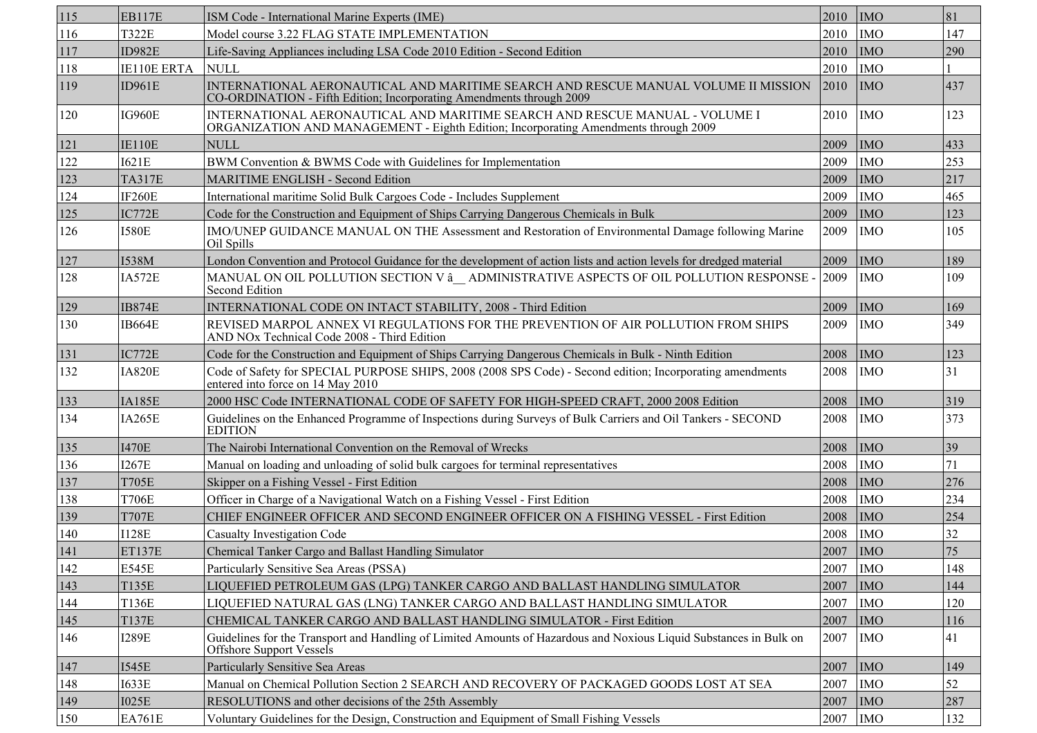| 115            | <b>EB117E</b> | ISM Code - International Marine Experts (IME)                                                                                                                      | 2010 | <b>IMO</b> | 81  |
|----------------|---------------|--------------------------------------------------------------------------------------------------------------------------------------------------------------------|------|------------|-----|
| <sup>116</sup> | <b>T322E</b>  | Model course 3.22 FLAG STATE IMPLEMENTATION                                                                                                                        | 2010 | <b>IMO</b> | 147 |
| 117            | ID982E        | Life-Saving Appliances including LSA Code 2010 Edition - Second Edition                                                                                            | 2010 | <b>IMO</b> | 290 |
| 118            | IE110E ERTA   | <b>NULL</b>                                                                                                                                                        | 2010 | <b>IMO</b> |     |
| 119            | ID961E        | INTERNATIONAL AERONAUTICAL AND MARITIME SEARCH AND RESCUE MANUAL VOLUME II MISSION<br>CO-ORDINATION - Fifth Edition; Incorporating Amendments through 2009         | 2010 | <b>IMO</b> | 437 |
| <sup>120</sup> | <b>IG960E</b> | INTERNATIONAL AERONAUTICAL AND MARITIME SEARCH AND RESCUE MANUAL - VOLUME I<br>ORGANIZATION AND MANAGEMENT - Eighth Edition; Incorporating Amendments through 2009 | 2010 | <b>IMO</b> | 123 |
| 121            | <b>IE110E</b> | <b>NULL</b>                                                                                                                                                        | 2009 | <b>IMO</b> | 433 |
| 122            | <b>I621E</b>  | BWM Convention & BWMS Code with Guidelines for Implementation                                                                                                      | 2009 | <b>IMO</b> | 253 |
| 123            | <b>TA317E</b> | <b>MARITIME ENGLISH - Second Edition</b>                                                                                                                           | 2009 | <b>IMO</b> | 217 |
| 124            | <b>IF260E</b> | International maritime Solid Bulk Cargoes Code - Includes Supplement                                                                                               | 2009 | <b>IMO</b> | 465 |
| 125            | IC772E        | Code for the Construction and Equipment of Ships Carrying Dangerous Chemicals in Bulk                                                                              | 2009 | <b>IMO</b> | 123 |
| 126            | <b>I580E</b>  | IMO/UNEP GUIDANCE MANUAL ON THE Assessment and Restoration of Environmental Damage following Marine<br>Oil Spills                                                  | 2009 | <b>IMO</b> | 105 |
| 127            | I538M         | London Convention and Protocol Guidance for the development of action lists and action levels for dredged material                                                 | 2009 | <b>IMO</b> | 189 |
| 128            | <b>IA572E</b> | MANUAL ON OIL POLLUTION SECTION V å ADMINISTRATIVE ASPECTS OF OIL POLLUTION RESPONSE -<br><b>Second Edition</b>                                                    | 2009 | <b>IMO</b> | 109 |
| 129            | <b>IB874E</b> | INTERNATIONAL CODE ON INTACT STABILITY, 2008 - Third Edition                                                                                                       | 2009 | <b>IMO</b> | 169 |
| 130            | IB664E        | REVISED MARPOL ANNEX VI REGULATIONS FOR THE PREVENTION OF AIR POLLUTION FROM SHIPS<br>AND NOx Technical Code 2008 - Third Edition                                  | 2009 | <b>IMO</b> | 349 |
| 131            | IC772E        | Code for the Construction and Equipment of Ships Carrying Dangerous Chemicals in Bulk - Ninth Edition                                                              | 2008 | <b>IMO</b> | 123 |
| 132            | <b>IA820E</b> | Code of Safety for SPECIAL PURPOSE SHIPS, 2008 (2008 SPS Code) - Second edition; Incorporating amendments<br>entered into force on 14 May 2010                     | 2008 | <b>IMO</b> | 31  |
| 133            | <b>IA185E</b> | 2000 HSC Code INTERNATIONAL CODE OF SAFETY FOR HIGH-SPEED CRAFT, 2000 2008 Edition                                                                                 | 2008 | <b>IMO</b> | 319 |
| 134            | <b>IA265E</b> | Guidelines on the Enhanced Programme of Inspections during Surveys of Bulk Carriers and Oil Tankers - SECOND<br><b>EDITION</b>                                     | 2008 | <b>IMO</b> | 373 |
| 135            | <b>I470E</b>  | The Nairobi International Convention on the Removal of Wrecks                                                                                                      | 2008 | <b>IMO</b> | 39  |
| 136            | <b>I267E</b>  | Manual on loading and unloading of solid bulk cargoes for terminal representatives                                                                                 | 2008 | <b>IMO</b> | 71  |
| 137            | <b>T705E</b>  | Skipper on a Fishing Vessel - First Edition                                                                                                                        | 2008 | <b>IMO</b> | 276 |
| 138            | <b>T706E</b>  | Officer in Charge of a Navigational Watch on a Fishing Vessel - First Edition                                                                                      | 2008 | <b>IMO</b> | 234 |
| 139            | <b>T707E</b>  | CHIEF ENGINEER OFFICER AND SECOND ENGINEER OFFICER ON A FISHING VESSEL - First Edition                                                                             | 2008 | <b>IMO</b> | 254 |
| 140            | <b>I128E</b>  | <b>Casualty Investigation Code</b>                                                                                                                                 | 2008 | <b>IMO</b> | 32  |
| 141            | <b>ET137E</b> | Chemical Tanker Cargo and Ballast Handling Simulator                                                                                                               | 2007 | <b>IMO</b> | 75  |
| 142            | <b>E545E</b>  | Particularly Sensitive Sea Areas (PSSA)                                                                                                                            | 2007 | <b>IMO</b> | 148 |
| 143            | T135E         | LIQUEFIED PETROLEUM GAS (LPG) TANKER CARGO AND BALLAST HANDLING SIMULATOR                                                                                          | 2007 | <b>IMO</b> | 144 |
| 144            | <b>T136E</b>  | LIQUEFIED NATURAL GAS (LNG) TANKER CARGO AND BALLAST HANDLING SIMULATOR                                                                                            | 2007 | <b>IMO</b> | 120 |
| 145            | T137E         | CHEMICAL TANKER CARGO AND BALLAST HANDLING SIMULATOR - First Edition                                                                                               | 2007 | <b>IMO</b> | 116 |
| 146            | <b>I289E</b>  | Guidelines for the Transport and Handling of Limited Amounts of Hazardous and Noxious Liquid Substances in Bulk on<br>Offshore Support Vessels                     | 2007 | <b>IMO</b> | 41  |
| 147            | <b>I545E</b>  | Particularly Sensitive Sea Areas                                                                                                                                   | 2007 | <b>IMO</b> | 149 |
| 148            | <b>I633E</b>  | Manual on Chemical Pollution Section 2 SEARCH AND RECOVERY OF PACKAGED GOODS LOST AT SEA                                                                           | 2007 | <b>IMO</b> | 52  |
| 149            | <b>I025E</b>  | RESOLUTIONS and other decisions of the 25th Assembly                                                                                                               | 2007 | <b>IMO</b> | 287 |
| 150            | <b>EA761E</b> | Voluntary Guidelines for the Design, Construction and Equipment of Small Fishing Vessels                                                                           | 2007 | <b>IMO</b> | 132 |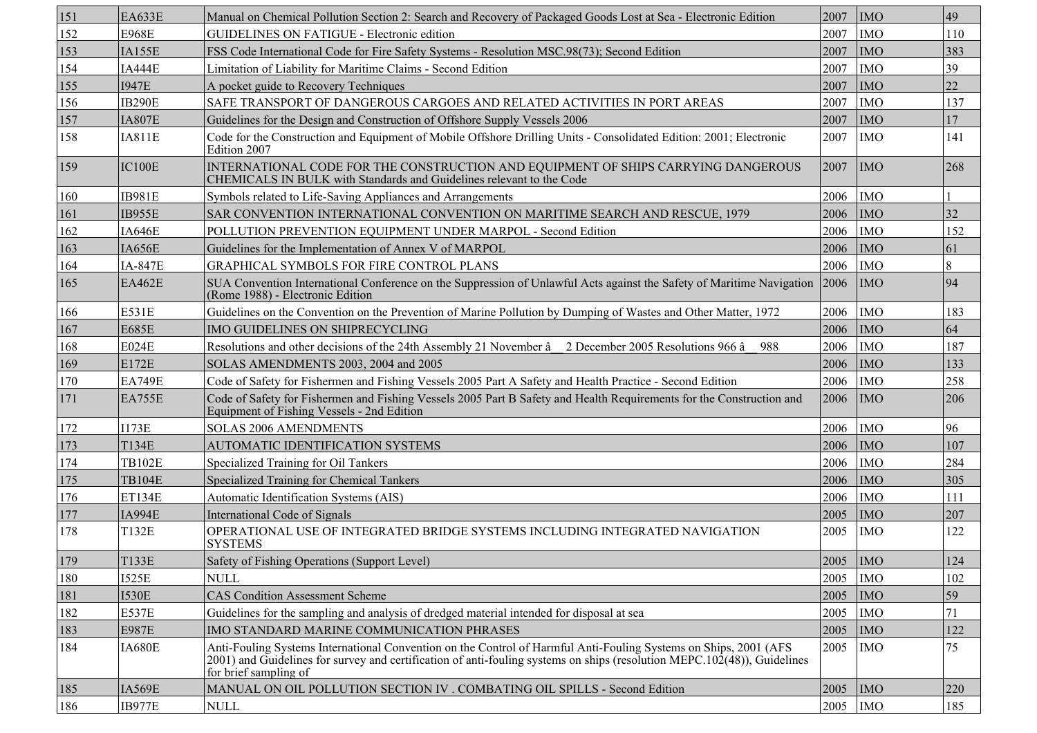| 151 | <b>EA633E</b>  | Manual on Chemical Pollution Section 2: Search and Recovery of Packaged Goods Lost at Sea - Electronic Edition                                                                                                                                                        | 2007      | <b>IMO</b> | 49  |
|-----|----------------|-----------------------------------------------------------------------------------------------------------------------------------------------------------------------------------------------------------------------------------------------------------------------|-----------|------------|-----|
| 152 | <b>E968E</b>   | <b>GUIDELINES ON FATIGUE - Electronic edition</b>                                                                                                                                                                                                                     | 2007      | <b>IMO</b> | 110 |
| 153 | IA155E         | FSS Code International Code for Fire Safety Systems - Resolution MSC.98(73); Second Edition                                                                                                                                                                           | 2007      | <b>IMO</b> | 383 |
| 154 | <b>IA444E</b>  | Limitation of Liability for Maritime Claims - Second Edition                                                                                                                                                                                                          | 2007      | <b>IMO</b> | 39  |
| 155 | <b>I947E</b>   | A pocket guide to Recovery Techniques                                                                                                                                                                                                                                 | 2007      | <b>IMO</b> | 22  |
| 156 | <b>IB290E</b>  | SAFE TRANSPORT OF DANGEROUS CARGOES AND RELATED ACTIVITIES IN PORT AREAS                                                                                                                                                                                              | 2007      | <b>IMO</b> | 137 |
| 157 | <b>IA807E</b>  | Guidelines for the Design and Construction of Offshore Supply Vessels 2006                                                                                                                                                                                            | 2007      | <b>IMO</b> | 17  |
| 158 | <b>IA811E</b>  | Code for the Construction and Equipment of Mobile Offshore Drilling Units - Consolidated Edition: 2001; Electronic<br>Edition 2007                                                                                                                                    | 2007      | <b>IMO</b> | 141 |
| 159 | IC100E         | INTERNATIONAL CODE FOR THE CONSTRUCTION AND EQUIPMENT OF SHIPS CARRYING DANGEROUS<br>CHEMICALS IN BULK with Standards and Guidelines relevant to the Code                                                                                                             | 2007      | <b>IMO</b> | 268 |
| 160 | <b>IB981E</b>  | Symbols related to Life-Saving Appliances and Arrangements                                                                                                                                                                                                            | 2006      | <b>IMO</b> |     |
| 161 | IB955E         | SAR CONVENTION INTERNATIONAL CONVENTION ON MARITIME SEARCH AND RESCUE, 1979                                                                                                                                                                                           | 2006      | <b>IMO</b> | 32  |
| 162 | IA646E         | POLLUTION PREVENTION EQUIPMENT UNDER MARPOL - Second Edition                                                                                                                                                                                                          | 2006      | <b>IMO</b> | 152 |
| 163 | IA656E         | Guidelines for the Implementation of Annex V of MARPOL                                                                                                                                                                                                                | 2006      | <b>IMO</b> | 61  |
| 164 | <b>IA-847E</b> | GRAPHICAL SYMBOLS FOR FIRE CONTROL PLANS                                                                                                                                                                                                                              | 2006      | <b>IMO</b> | 8   |
| 165 | <b>EA462E</b>  | SUA Convention International Conference on the Suppression of Unlawful Acts against the Safety of Maritime Navigation<br>(Rome 1988) - Electronic Edition                                                                                                             | 2006      | <b>IMO</b> | 94  |
| 166 | E531E          | Guidelines on the Convention on the Prevention of Marine Pollution by Dumping of Wastes and Other Matter, 1972                                                                                                                                                        | 2006      | <b>IMO</b> | 183 |
| 167 | <b>E685E</b>   | IMO GUIDELINES ON SHIPRECYCLING                                                                                                                                                                                                                                       | 2006      | <b>IMO</b> | 64  |
| 168 | <b>E024E</b>   | Resolutions and other decisions of the 24th Assembly 21 November $\hat{a}$ 2 December 2005 Resolutions 966 $\hat{a}$<br>988                                                                                                                                           | 2006      | <b>IMO</b> | 187 |
| 169 | E172E          | SOLAS AMENDMENTS 2003, 2004 and 2005                                                                                                                                                                                                                                  | 2006      | <b>IMO</b> | 133 |
| 170 | <b>EA749E</b>  | Code of Safety for Fishermen and Fishing Vessels 2005 Part A Safety and Health Practice - Second Edition                                                                                                                                                              | 2006      | <b>IMO</b> | 258 |
| 171 | <b>EA755E</b>  | Code of Safety for Fishermen and Fishing Vessels 2005 Part B Safety and Health Requirements for the Construction and<br>Equipment of Fishing Vessels - 2nd Edition                                                                                                    | 2006      | <b>IMO</b> | 206 |
| 172 | <b>I173E</b>   | SOLAS 2006 AMENDMENTS                                                                                                                                                                                                                                                 | 2006      | <b>IMO</b> | 96  |
| 173 | <b>T134E</b>   | AUTOMATIC IDENTIFICATION SYSTEMS                                                                                                                                                                                                                                      | 2006      | <b>IMO</b> | 107 |
| 174 | <b>TB102E</b>  | Specialized Training for Oil Tankers                                                                                                                                                                                                                                  | 2006      | <b>IMO</b> | 284 |
| 175 | <b>TB104E</b>  | Specialized Training for Chemical Tankers                                                                                                                                                                                                                             | 2006      | <b>IMO</b> | 305 |
| 176 | <b>ET134E</b>  | Automatic Identification Systems (AIS)                                                                                                                                                                                                                                | 2006      | <b>IMO</b> | 111 |
| 177 | <b>IA994E</b>  | International Code of Signals                                                                                                                                                                                                                                         | 2005      | <b>IMO</b> | 207 |
| 178 | T132E          | OPERATIONAL USE OF INTEGRATED BRIDGE SYSTEMS INCLUDING INTEGRATED NAVIGATION<br><b>SYSTEMS</b>                                                                                                                                                                        | 2005      | <b>IMO</b> | 122 |
| 179 | T133E          | Safety of Fishing Operations (Support Level)                                                                                                                                                                                                                          | $2005$ MO |            | 124 |
| 180 | <b>I525E</b>   | <b>NULL</b>                                                                                                                                                                                                                                                           | 2005      | <b>IMO</b> | 102 |
| 181 | <b>I530E</b>   | <b>CAS Condition Assessment Scheme</b>                                                                                                                                                                                                                                | 2005      | <b>IMO</b> | 59  |
| 182 | <b>E537E</b>   | Guidelines for the sampling and analysis of dredged material intended for disposal at sea                                                                                                                                                                             | 2005      | <b>IMO</b> | 71  |
| 183 | <b>E987E</b>   | IMO STANDARD MARINE COMMUNICATION PHRASES                                                                                                                                                                                                                             | 2005      | <b>IMO</b> | 122 |
| 184 | <b>IA680E</b>  | Anti-Fouling Systems International Convention on the Control of Harmful Anti-Fouling Systems on Ships, 2001 (AFS<br>2001) and Guidelines for survey and certification of anti-fouling systems on ships (resolution MEPC.102(48)), Guidelines<br>for brief sampling of | 2005      | <b>IMO</b> | 75  |
| 185 | IA569E         | MANUAL ON OIL POLLUTION SECTION IV . COMBATING OIL SPILLS - Second Edition                                                                                                                                                                                            | 2005      | <b>IMO</b> | 220 |
| 186 | <b>IB977E</b>  | <b>NULL</b>                                                                                                                                                                                                                                                           | 2005      | <b>IMO</b> | 185 |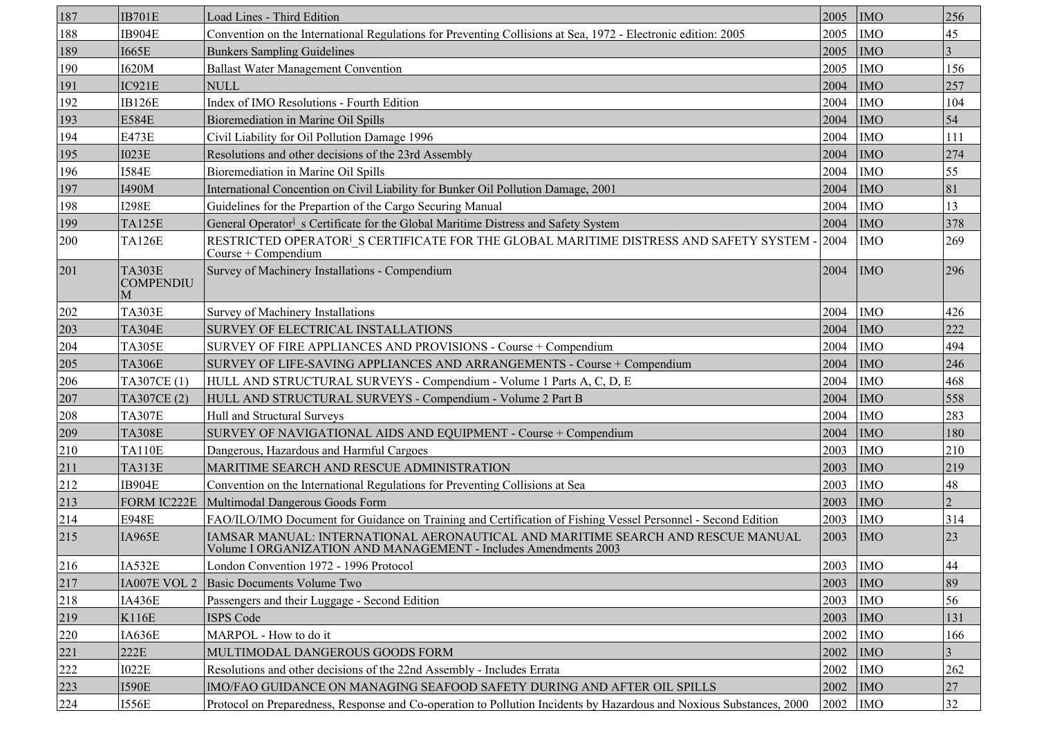| 187 | <b>IB701E</b>                          | Load Lines - Third Edition                                                                                                                         | 2005 | <b>IMO</b> | 256    |
|-----|----------------------------------------|----------------------------------------------------------------------------------------------------------------------------------------------------|------|------------|--------|
| 188 | IB904E                                 | Convention on the International Regulations for Preventing Collisions at Sea, 1972 - Electronic edition: 2005                                      | 2005 | <b>IMO</b> | 45     |
| 189 | <b>I665E</b>                           | <b>Bunkers Sampling Guidelines</b>                                                                                                                 | 2005 | <b>IMO</b> |        |
| 190 | I620M                                  | <b>Ballast Water Management Convention</b>                                                                                                         | 2005 | <b>IMO</b> | 156    |
| 191 | IC921E                                 | <b>NULL</b>                                                                                                                                        | 2004 | <b>IMO</b> | 257    |
| 192 | <b>IB126E</b>                          | Index of IMO Resolutions - Fourth Edition                                                                                                          | 2004 | <b>IMO</b> | 104    |
| 193 | <b>E584E</b>                           | Bioremediation in Marine Oil Spills                                                                                                                | 2004 | <b>IMO</b> | 54     |
| 194 | <b>E473E</b>                           | Civil Liability for Oil Pollution Damage 1996                                                                                                      | 2004 | <b>IMO</b> | 111    |
| 195 | <b>I023E</b>                           | Resolutions and other decisions of the 23rd Assembly                                                                                               | 2004 | <b>IMO</b> | 274    |
| 196 | <b>I584E</b>                           | Bioremediation in Marine Oil Spills                                                                                                                | 2004 | <b>IMO</b> | 55     |
| 197 | I490M                                  | International Concention on Civil Liability for Bunker Oil Pollution Damage, 2001                                                                  | 2004 | <b>IMO</b> | 81     |
| 198 | <b>I298E</b>                           | Guidelines for the Prepartion of the Cargo Securing Manual                                                                                         | 2004 | <b>IMO</b> | 13     |
| 199 | <b>TA125E</b>                          | General Operator <sup>j</sup> s Certificate for the Global Maritime Distress and Safety System                                                     | 2004 | <b>IMO</b> | 378    |
| 200 | <b>TA126E</b>                          | RESTRICTED OPERATOR <sup>I</sup> S CERTIFICATE FOR THE GLOBAL MARITIME DISTRESS AND SAFETY SYSTEM - 2004<br>Course + Compendium                    |      | <b>IMO</b> | 269    |
| 201 | <b>TA303E</b><br><b>COMPENDIU</b><br>M | Survey of Machinery Installations - Compendium                                                                                                     | 2004 | <b>IMO</b> | 296    |
| 202 | <b>TA303E</b>                          | Survey of Machinery Installations                                                                                                                  | 2004 | <b>IMO</b> | 426    |
| 203 | <b>TA304E</b>                          | SURVEY OF ELECTRICAL INSTALLATIONS                                                                                                                 | 2004 | <b>IMO</b> | 222    |
| 204 | <b>TA305E</b>                          | SURVEY OF FIRE APPLIANCES AND PROVISIONS - Course + Compendium                                                                                     | 2004 | <b>IMO</b> | 494    |
| 205 | <b>TA306E</b>                          | SURVEY OF LIFE-SAVING APPLIANCES AND ARRANGEMENTS - Course + Compendium                                                                            | 2004 | <b>IMO</b> | 246    |
| 206 | TA307CE(1)                             | HULL AND STRUCTURAL SURVEYS - Compendium - Volume 1 Parts A, C, D, E                                                                               | 2004 | <b>IMO</b> | 468    |
| 207 | TA307CE(2)                             | HULL AND STRUCTURAL SURVEYS - Compendium - Volume 2 Part B                                                                                         | 2004 | <b>IMO</b> | 558    |
| 208 | <b>TA307E</b>                          | Hull and Structural Surveys                                                                                                                        | 2004 | <b>IMO</b> | 283    |
| 209 | <b>TA308E</b>                          | SURVEY OF NAVIGATIONAL AIDS AND EQUIPMENT - Course + Compendium                                                                                    | 2004 | <b>IMO</b> | 180    |
| 210 | <b>TA110E</b>                          | Dangerous, Hazardous and Harmful Cargoes                                                                                                           | 2003 | <b>IMO</b> | 210    |
| 211 | <b>TA313E</b>                          | MARITIME SEARCH AND RESCUE ADMINISTRATION                                                                                                          | 2003 | <b>IMO</b> | 219    |
| 212 | IB904E                                 | Convention on the International Regulations for Preventing Collisions at Sea                                                                       | 2003 | <b>IMO</b> | 48     |
| 213 | FORM IC222E                            | Multimodal Dangerous Goods Form                                                                                                                    | 2003 | <b>IMO</b> |        |
| 214 | <b>E948E</b>                           | FAO/ILO/IMO Document for Guidance on Training and Certification of Fishing Vessel Personnel - Second Edition                                       | 2003 | <b>IMO</b> | 314    |
| 215 | IA965E                                 | IAMSAR MANUAL: INTERNATIONAL AERONAUTICAL AND MARITIME SEARCH AND RESCUE MANUAL<br>Volume I ORGANIZATION AND MANAGEMENT - Includes Amendments 2003 | 2003 | <b>IMO</b> | 23     |
| 216 | IA532E                                 | London Convention 1972 - 1996 Protocol                                                                                                             | 2003 | IMO        | 44     |
| 217 | IA007E VOL 2                           | <b>Basic Documents Volume Two</b>                                                                                                                  | 2003 | <b>IMO</b> | 89     |
| 218 | IA436E                                 | Passengers and their Luggage - Second Edition                                                                                                      | 2003 | <b>IMO</b> | 56     |
| 219 | K116E                                  | <b>ISPS Code</b>                                                                                                                                   | 2003 | <b>IMO</b> | 131    |
| 220 | IA636E                                 | MARPOL - How to do it                                                                                                                              | 2002 | <b>IMO</b> | 166    |
| 221 | 222E                                   | MULTIMODAL DANGEROUS GOODS FORM                                                                                                                    | 2002 | <b>IMO</b> |        |
| 222 | <b>I022E</b>                           | Resolutions and other decisions of the 22nd Assembly - Includes Errata                                                                             | 2002 | <b>IMO</b> | 262    |
| 223 | <b>I590E</b>                           | IMO/FAO GUIDANCE ON MANAGING SEAFOOD SAFETY DURING AND AFTER OIL SPILLS                                                                            | 2002 | <b>IMO</b> | $27\,$ |
| 224 | <b>I556E</b>                           | Protocol on Preparedness, Response and Co-operation to Pollution Incidents by Hazardous and Noxious Substances, 2000                               | 2002 | <b>IMO</b> | 32     |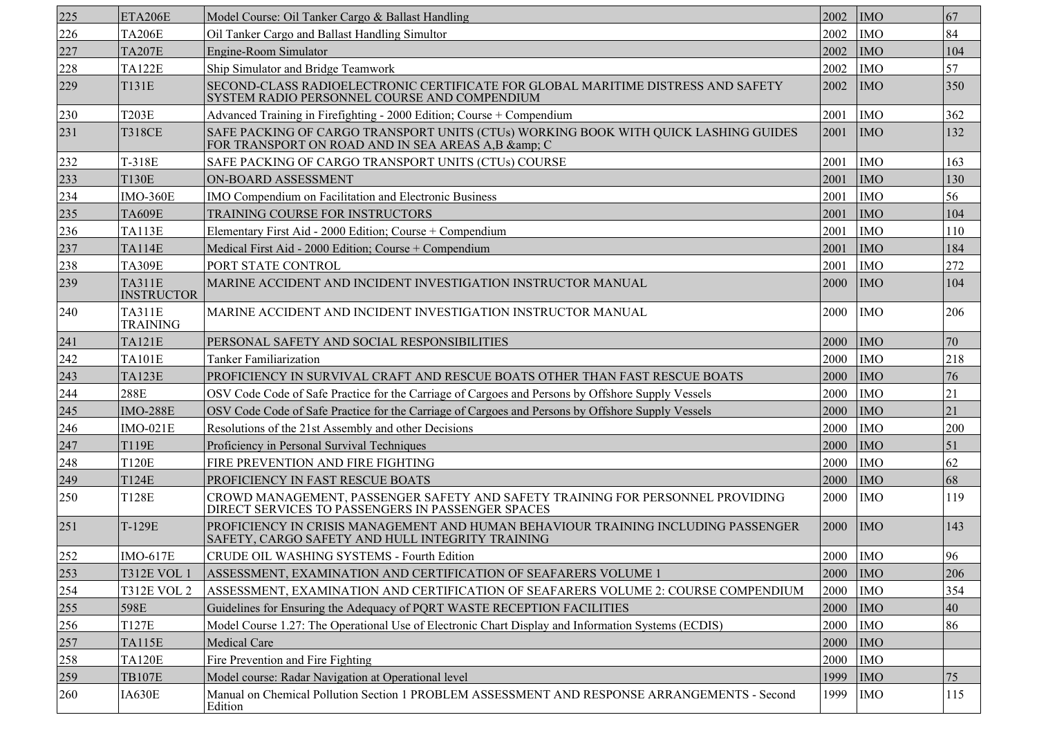| 225 | ETA206E                            | Model Course: Oil Tanker Cargo & Ballast Handling                                                                                     | 2002       | <b>IMO</b> | 67  |
|-----|------------------------------------|---------------------------------------------------------------------------------------------------------------------------------------|------------|------------|-----|
| 226 | <b>TA206E</b>                      | Oil Tanker Cargo and Ballast Handling Simultor                                                                                        | 2002       | <b>IMO</b> | 84  |
| 227 | <b>TA207E</b>                      | Engine-Room Simulator                                                                                                                 | 2002       | <b>IMO</b> | 104 |
| 228 | <b>TA122E</b>                      | Ship Simulator and Bridge Teamwork                                                                                                    | 2002       | <b>IMO</b> | 57  |
| 229 | <b>T131E</b>                       | SECOND-CLASS RADIOELECTRONIC CERTIFICATE FOR GLOBAL MARITIME DISTRESS AND SAFETY<br>SYSTEM RADIO PERSONNEL COURSE AND COMPENDIUM      | 2002       | <b>IMO</b> | 350 |
| 230 | T203E                              | Advanced Training in Firefighting - 2000 Edition; Course + Compendium                                                                 | 2001       | <b>IMO</b> | 362 |
| 231 | <b>T318CE</b>                      | SAFE PACKING OF CARGO TRANSPORT UNITS (CTUs) WORKING BOOK WITH QUICK LASHING GUIDES<br>FOR TRANSPORT ON ROAD AND IN SEA AREAS A,B & C | 2001       | <b>IMO</b> | 132 |
| 232 | T-318E                             | SAFE PACKING OF CARGO TRANSPORT UNITS (CTUs) COURSE                                                                                   | 2001       | <b>IMO</b> | 163 |
| 233 | <b>T130E</b>                       | ON-BOARD ASSESSMENT                                                                                                                   | 2001       | <b>IMO</b> | 130 |
| 234 | <b>IMO-360E</b>                    | IMO Compendium on Facilitation and Electronic Business                                                                                | 2001       | <b>IMO</b> | 56  |
| 235 | <b>TA609E</b>                      | TRAINING COURSE FOR INSTRUCTORS                                                                                                       | 2001       | <b>IMO</b> | 104 |
| 236 | <b>TA113E</b>                      | Elementary First Aid - 2000 Edition; Course + Compendium                                                                              | 2001       | <b>IMO</b> | 110 |
| 237 | <b>TA114E</b>                      | Medical First Aid - 2000 Edition; Course + Compendium                                                                                 | 2001       | <b>IMO</b> | 184 |
| 238 | <b>TA309E</b>                      | PORT STATE CONTROL                                                                                                                    | 2001       | <b>IMO</b> | 272 |
| 239 | <b>TA311E</b><br><b>INSTRUCTOR</b> | MARINE ACCIDENT AND INCIDENT INVESTIGATION INSTRUCTOR MANUAL                                                                          | 2000       | <b>IMO</b> | 104 |
| 240 | <b>TA311E</b><br><b>TRAINING</b>   | MARINE ACCIDENT AND INCIDENT INVESTIGATION INSTRUCTOR MANUAL                                                                          | 2000       | <b>IMO</b> | 206 |
| 241 | <b>TA121E</b>                      | PERSONAL SAFETY AND SOCIAL RESPONSIBILITIES                                                                                           | 2000       | <b>IMO</b> | 70  |
| 242 | <b>TA101E</b>                      | <b>Tanker Familiarization</b>                                                                                                         | 2000       | <b>IMO</b> | 218 |
| 243 | <b>TA123E</b>                      | PROFICIENCY IN SURVIVAL CRAFT AND RESCUE BOATS OTHER THAN FAST RESCUE BOATS                                                           | 2000       | <b>IMO</b> | 76  |
| 244 | 288E                               | OSV Code Code of Safe Practice for the Carriage of Cargoes and Persons by Offshore Supply Vessels                                     | 2000       | <b>IMO</b> | 21  |
| 245 | <b>IMO-288E</b>                    | OSV Code Code of Safe Practice for the Carriage of Cargoes and Persons by Offshore Supply Vessels                                     | 2000       | <b>IMO</b> | 21  |
| 246 | $IMO-021E$                         | Resolutions of the 21st Assembly and other Decisions                                                                                  | 2000       | <b>IMO</b> | 200 |
| 247 | T119E                              | Proficiency in Personal Survival Techniques                                                                                           | 2000       | <b>IMO</b> | 51  |
| 248 | <b>T120E</b>                       | FIRE PREVENTION AND FIRE FIGHTING                                                                                                     | 2000       | <b>IMO</b> | 62  |
| 249 | <b>T124E</b>                       | PROFICIENCY IN FAST RESCUE BOATS                                                                                                      | 2000       | <b>IMO</b> | 68  |
| 250 | T128E                              | CROWD MANAGEMENT, PASSENGER SAFETY AND SAFETY TRAINING FOR PERSONNEL PROVIDING<br>DIRECT SERVICES TO PASSENGERS IN PASSENGER SPACES   | 2000       | <b>IMO</b> | 119 |
| 251 | T-129E                             | PROFICIENCY IN CRISIS MANAGEMENT AND HUMAN BEHAVIOUR TRAINING INCLUDING PASSENGER<br>SAFETY, CARGO SAFETY AND HULL INTEGRITY TRAINING | 2000       | <b>IMO</b> | 143 |
| 252 | <b>IMO-617E</b>                    | CRUDE OIL WASHING SYSTEMS - Fourth Edition                                                                                            | 2000   IMO |            | 96  |
| 253 | <b>T312E VOL 1</b>                 | ASSESSMENT, EXAMINATION AND CERTIFICATION OF SEAFARERS VOLUME 1                                                                       | 2000       | <b>IMO</b> | 206 |
| 254 | <b>T312E VOL 2</b>                 | ASSESSMENT, EXAMINATION AND CERTIFICATION OF SEAFARERS VOLUME 2: COURSE COMPENDIUM                                                    | 2000       | <b>IMO</b> | 354 |
| 255 | 598E                               | Guidelines for Ensuring the Adequacy of PQRT WASTE RECEPTION FACILITIES                                                               | 2000       | <b>IMO</b> | 40  |
| 256 | <b>T127E</b>                       | Model Course 1.27: The Operational Use of Electronic Chart Display and Information Systems (ECDIS)                                    | 2000       | <b>IMO</b> | 86  |
| 257 | <b>TA115E</b>                      | Medical Care                                                                                                                          | 2000       | <b>IMO</b> |     |
| 258 | <b>TA120E</b>                      | Fire Prevention and Fire Fighting                                                                                                     | 2000       | <b>IMO</b> |     |
| 259 | <b>TB107E</b>                      | Model course: Radar Navigation at Operational level                                                                                   | 1999       | <b>IMO</b> | 75  |
| 260 | IA630E                             | Manual on Chemical Pollution Section 1 PROBLEM ASSESSMENT AND RESPONSE ARRANGEMENTS - Second<br>Edition                               | 1999       | <b>IMO</b> | 115 |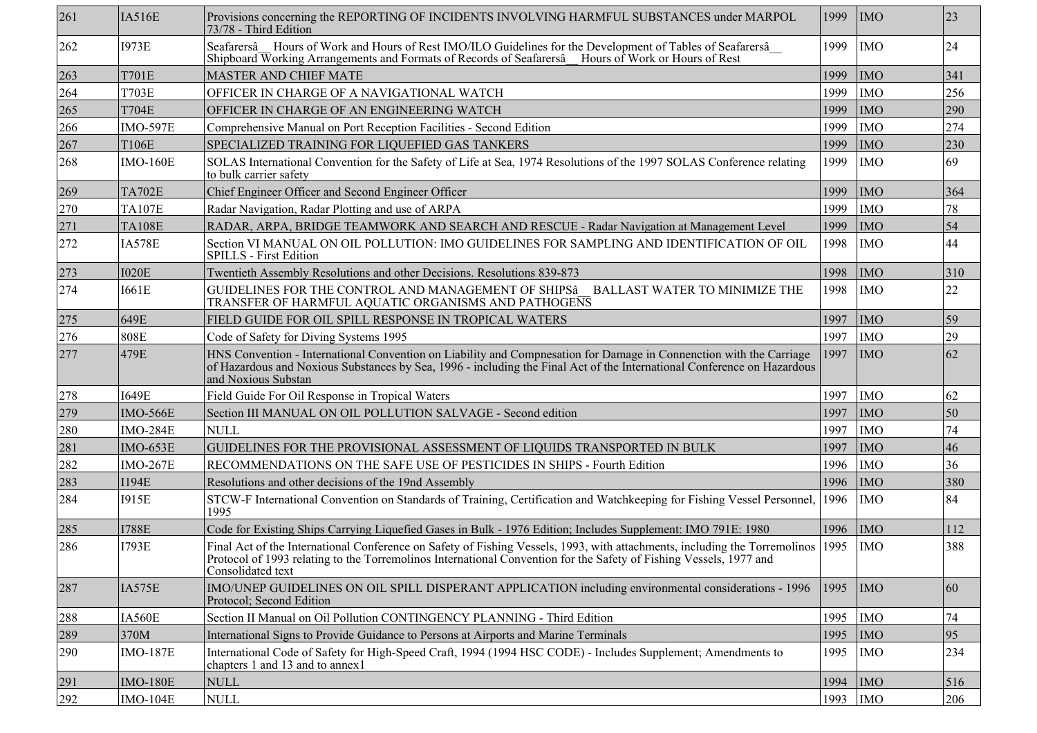| 261 | <b>IA516E</b>   | Provisions concerning the REPORTING OF INCIDENTS INVOLVING HARMFUL SUBSTANCES under MARPOL<br>73/78 - Third Edition                                                                                                                                                        | 1999 | <b>IMO</b> | 23  |
|-----|-----------------|----------------------------------------------------------------------------------------------------------------------------------------------------------------------------------------------------------------------------------------------------------------------------|------|------------|-----|
| 262 | <b>I973E</b>    | Seafarersâ Hours of Work and Hours of Rest IMO/ILO Guidelines for the Development of Tables of Seafarersâ<br>Shipboard Working Arrangements and Formats of Records of Seafarersâ Hours of Work or Hours of Rest                                                            | 1999 | <b>IMO</b> | 24  |
| 263 | T701E           | <b>MASTER AND CHIEF MATE</b>                                                                                                                                                                                                                                               | 1999 | <b>IMO</b> | 341 |
| 264 | <b>T703E</b>    | OFFICER IN CHARGE OF A NAVIGATIONAL WATCH                                                                                                                                                                                                                                  | 1999 | <b>IMO</b> | 256 |
| 265 | <b>T704E</b>    | OFFICER IN CHARGE OF AN ENGINEERING WATCH                                                                                                                                                                                                                                  | 1999 | <b>IMO</b> | 290 |
| 266 | <b>IMO-597E</b> | Comprehensive Manual on Port Reception Facilities - Second Edition                                                                                                                                                                                                         | 1999 | <b>IMO</b> | 274 |
| 267 | <b>T106E</b>    | SPECIALIZED TRAINING FOR LIQUEFIED GAS TANKERS                                                                                                                                                                                                                             | 1999 | <b>IMO</b> | 230 |
| 268 | <b>IMO-160E</b> | SOLAS International Convention for the Safety of Life at Sea, 1974 Resolutions of the 1997 SOLAS Conference relating<br>to bulk carrier safety                                                                                                                             | 1999 | <b>IMO</b> | 69  |
| 269 | <b>TA702E</b>   | Chief Engineer Officer and Second Engineer Officer                                                                                                                                                                                                                         | 1999 | <b>IMO</b> | 364 |
| 270 | <b>TA107E</b>   | Radar Navigation, Radar Plotting and use of ARPA                                                                                                                                                                                                                           | 1999 | <b>IMO</b> | 78  |
| 271 | <b>TA108E</b>   | RADAR, ARPA, BRIDGE TEAMWORK AND SEARCH AND RESCUE - Radar Navigation at Management Level                                                                                                                                                                                  | 1999 | <b>IMO</b> | 54  |
| 272 | <b>IA578E</b>   | Section VI MANUAL ON OIL POLLUTION: IMO GUIDELINES FOR SAMPLING AND IDENTIFICATION OF OIL<br><b>SPILLS</b> - First Edition                                                                                                                                                 | 1998 | <b>IMO</b> | 44  |
| 273 | <b>I020E</b>    | Twentieth Assembly Resolutions and other Decisions. Resolutions 839-873                                                                                                                                                                                                    | 1998 | <b>IMO</b> | 310 |
| 274 | <b>I661E</b>    | GUIDELINES FOR THE CONTROL AND MANAGEMENT OF SHIPSÂ BALLAST WATER TO MINIMIZE THE<br>TRANSFER OF HARMFUL AQUATIC ORGANISMS AND PATHOGENS                                                                                                                                   | 1998 | <b>IMO</b> | 22  |
| 275 | 649E            | FIELD GUIDE FOR OIL SPILL RESPONSE IN TROPICAL WATERS                                                                                                                                                                                                                      | 1997 | <b>IMO</b> | 59  |
| 276 | <b>808E</b>     | Code of Safety for Diving Systems 1995                                                                                                                                                                                                                                     | 1997 | <b>IMO</b> | 29  |
| 277 | 479E            | HNS Convention - International Convention on Liability and Compnesation for Damage in Connenction with the Carriage<br>of Hazardous and Noxious Substances by Sea, 1996 - including the Final Act of the International Conference on Hazardous<br>and Noxious Substan      | 1997 | <b>IMO</b> | 62  |
| 278 | <b>I649E</b>    | Field Guide For Oil Response in Tropical Waters                                                                                                                                                                                                                            | 1997 | <b>IMO</b> | 62  |
| 279 | <b>IMO-566E</b> | Section III MANUAL ON OIL POLLUTION SALVAGE - Second edition                                                                                                                                                                                                               | 1997 | <b>IMO</b> | 50  |
| 280 | <b>IMO-284E</b> | <b>NULL</b>                                                                                                                                                                                                                                                                | 1997 | <b>IMO</b> | 74  |
| 281 | <b>IMO-653E</b> | GUIDELINES FOR THE PROVISIONAL ASSESSMENT OF LIQUIDS TRANSPORTED IN BULK                                                                                                                                                                                                   | 1997 | <b>IMO</b> | 46  |
| 282 | <b>IMO-267E</b> | RECOMMENDATIONS ON THE SAFE USE OF PESTICIDES IN SHIPS - Fourth Edition                                                                                                                                                                                                    | 1996 | <b>IMO</b> | 36  |
| 283 | <b>I194E</b>    | Resolutions and other decisions of the 19nd Assembly                                                                                                                                                                                                                       | 1996 | <b>IMO</b> | 380 |
| 284 | <b>I915E</b>    | STCW-F International Convention on Standards of Training, Certification and Watchkeeping for Fishing Vessel Personnel,<br>1995                                                                                                                                             | 1996 | <b>IMO</b> | 84  |
| 285 | <b>I788E</b>    | Code for Existing Ships Carrying Liquefied Gases in Bulk - 1976 Edition; Includes Supplement: IMO 791E: 1980                                                                                                                                                               | 1996 | <b>IMO</b> | 112 |
| 286 | <b>I793E</b>    | Final Act of the International Conference on Safety of Fishing Vessels, 1993, with attachments, including the Torremolinos 1995<br>Protocol of 1993 relating to the Torremolinos International Convention for the Safety of Fishing Vessels, 1977 and<br>Consolidated text |      | <b>IMO</b> | 388 |
| 287 | IA575E          | IMO/UNEP GUIDELINES ON OIL SPILL DISPERANT APPLICATION including environmental considerations - 1996<br>Protocol; Second Edition                                                                                                                                           | 1995 | <b>IMO</b> | 60  |
| 288 | IA560E          | Section II Manual on Oil Pollution CONTINGENCY PLANNING - Third Edition                                                                                                                                                                                                    | 1995 | <b>IMO</b> | 74  |
| 289 | 370M            | International Signs to Provide Guidance to Persons at Airports and Marine Terminals                                                                                                                                                                                        | 1995 | <b>IMO</b> | 95  |
| 290 | <b>IMO-187E</b> | International Code of Safety for High-Speed Craft, 1994 (1994 HSC CODE) - Includes Supplement; Amendments to<br>chapters 1 and 13 and to annex1                                                                                                                            | 1995 | <b>IMO</b> | 234 |
| 291 | <b>IMO-180E</b> | <b>NULL</b>                                                                                                                                                                                                                                                                | 1994 | <b>IMO</b> | 516 |
| 292 | $IMO-104E$      | <b>NULL</b>                                                                                                                                                                                                                                                                | 1993 | <b>IMO</b> | 206 |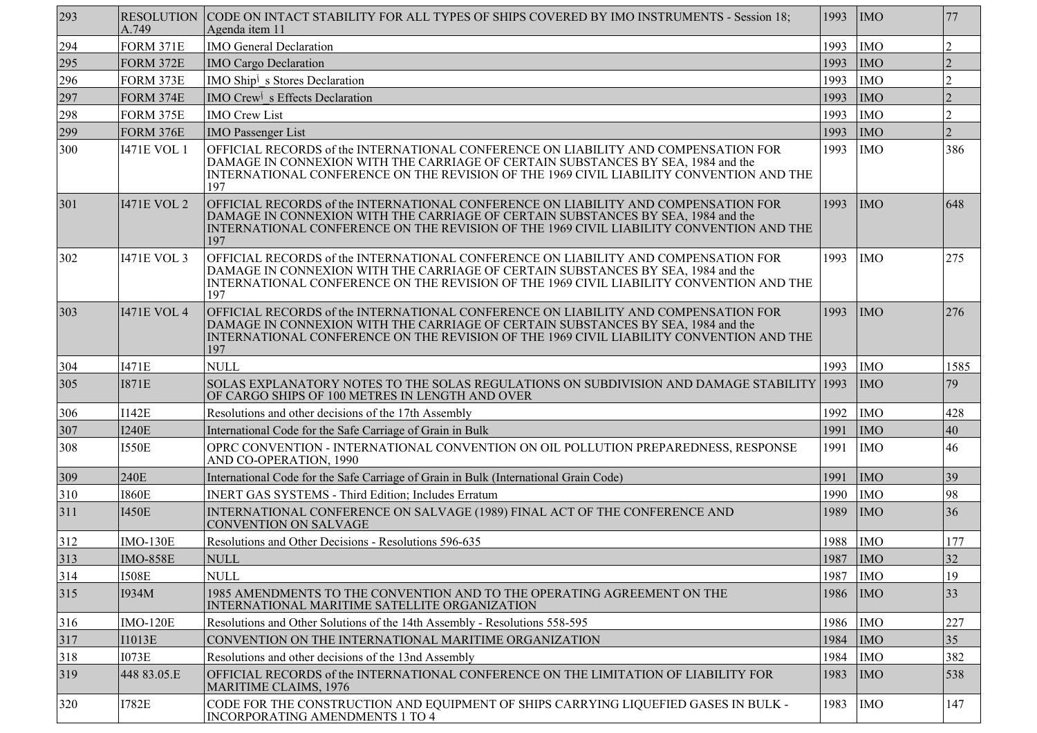| 293 | A.749              | RESOLUTION CODE ON INTACT STABILITY FOR ALL TYPES OF SHIPS COVERED BY IMO INSTRUMENTS - Session 18;<br>Agenda item 11                                                                                                                                                    | 1993       | IMO        | 77             |
|-----|--------------------|--------------------------------------------------------------------------------------------------------------------------------------------------------------------------------------------------------------------------------------------------------------------------|------------|------------|----------------|
| 294 | <b>FORM 371E</b>   | <b>IMO General Declaration</b>                                                                                                                                                                                                                                           | 1993       | <b>IMO</b> | $\overline{2}$ |
| 295 | <b>FORM 372E</b>   | <b>IMO Cargo Declaration</b>                                                                                                                                                                                                                                             | 1993       | <b>IMO</b> |                |
| 296 | FORM 373E          | IMO Ship <sup>j</sup> s Stores Declaration                                                                                                                                                                                                                               | 1993       | <b>IMO</b> | $\overline{2}$ |
| 297 | FORM 374E          | IMO Crew <sup>j</sup> s Effects Declaration                                                                                                                                                                                                                              | 1993       | <b>IMO</b> |                |
| 298 | FORM 375E          | <b>IMO Crew List</b>                                                                                                                                                                                                                                                     | 1993       | <b>IMO</b> | $\overline{2}$ |
| 299 | <b>FORM 376E</b>   | <b>IMO Passenger List</b>                                                                                                                                                                                                                                                | 1993       | <b>IMO</b> | $\overline{2}$ |
| 300 | <b>I471E VOL 1</b> | OFFICIAL RECORDS of the INTERNATIONAL CONFERENCE ON LIABILITY AND COMPENSATION FOR<br>DAMAGE IN CONNEXION WITH THE CARRIAGE OF CERTAIN SUBSTANCES BY SEA, 1984 and the<br>INTERNATIONAL CONFERENCE ON THE REVISION OF THE 1969 CIVIL LIABILITY CONVENTION AND THE<br>197 | 1993       | <b>IMO</b> | 386            |
| 301 | <b>I471E VOL 2</b> | OFFICIAL RECORDS of the INTERNATIONAL CONFERENCE ON LIABILITY AND COMPENSATION FOR<br>DAMAGE IN CONNEXION WITH THE CARRIAGE OF CERTAIN SUBSTANCES BY SEA, 1984 and the<br>INTERNATIONAL CONFERENCE ON THE REVISION OF THE 1969 CIVIL LIABILITY CONVENTION AND THE<br>197 | 1993       | <b>IMO</b> | 648            |
| 302 | <b>I471E VOL 3</b> | OFFICIAL RECORDS of the INTERNATIONAL CONFERENCE ON LIABILITY AND COMPENSATION FOR<br>DAMAGE IN CONNEXION WITH THE CARRIAGE OF CERTAIN SUBSTANCES BY SEA, 1984 and the<br>INTERNATIONAL CONFERENCE ON THE REVISION OF THE 1969 CIVIL LIABILITY CONVENTION AND THE<br>197 | 1993       | <b>IMO</b> | 275            |
| 303 | <b>I471E VOL 4</b> | OFFICIAL RECORDS of the INTERNATIONAL CONFERENCE ON LIABILITY AND COMPENSATION FOR<br>DAMAGE IN CONNEXION WITH THE CARRIAGE OF CERTAIN SUBSTANCES BY SEA, 1984 and the<br>INTERNATIONAL CONFERENCE ON THE REVISION OF THE 1969 CIVIL LIABILITY CONVENTION AND THE<br>197 | 1993       | <b>IMO</b> | 276            |
| 304 | <b>I471E</b>       | <b>NULL</b>                                                                                                                                                                                                                                                              | 1993       | <b>IMO</b> | 1585           |
| 305 | <b>I871E</b>       | SOLAS EXPLANATORY NOTES TO THE SOLAS REGULATIONS ON SUBDIVISION AND DAMAGE STABILITY 1993<br>OF CARGO SHIPS OF 100 METRES IN LENGTH AND OVER                                                                                                                             |            | <b>IMO</b> | 79             |
| 306 | <b>I142E</b>       | Resolutions and other decisions of the 17th Assembly                                                                                                                                                                                                                     | 1992       | <b>IMO</b> | 428            |
| 307 | <b>I240E</b>       | International Code for the Safe Carriage of Grain in Bulk                                                                                                                                                                                                                | 1991       | <b>IMO</b> | 40             |
| 308 | <b>I550E</b>       | OPRC CONVENTION - INTERNATIONAL CONVENTION ON OIL POLLUTION PREPAREDNESS, RESPONSE<br>AND CO-OPERATION, 1990                                                                                                                                                             | 1991       | <b>IMO</b> | 46             |
| 309 | 240E               | International Code for the Safe Carriage of Grain in Bulk (International Grain Code)                                                                                                                                                                                     | 1991       | <b>IMO</b> | 39             |
| 310 | <b>I860E</b>       | <b>INERT GAS SYSTEMS - Third Edition; Includes Erratum</b>                                                                                                                                                                                                               | 1990       | <b>IMO</b> | 98             |
| 311 | <b>I450E</b>       | INTERNATIONAL CONFERENCE ON SALVAGE (1989) FINAL ACT OF THE CONFERENCE AND<br><b>CONVENTION ON SALVAGE</b>                                                                                                                                                               | 1989       | <b>IMO</b> | 36             |
| 312 | <b>IMO-130E</b>    | Resolutions and Other Decisions - Resolutions 596-635                                                                                                                                                                                                                    | 1988       | <b>IMO</b> | 177            |
| 313 | IMO-858E           | <b>NULL</b>                                                                                                                                                                                                                                                              | 1987   IMO |            | 32             |
| 314 | <b>I508E</b>       | <b>NULL</b>                                                                                                                                                                                                                                                              | 1987       | <b>IMO</b> | 19             |
| 315 | I934M              | 1985 AMENDMENTS TO THE CONVENTION AND TO THE OPERATING AGREEMENT ON THE<br>INTERNATIONAL MARITIME SATELLITE ORGANIZATION                                                                                                                                                 | 1986       | IMO        | 33             |
| 316 | <b>IMO-120E</b>    | Resolutions and Other Solutions of the 14th Assembly - Resolutions 558-595                                                                                                                                                                                               | 1986       | <b>IMO</b> | 227            |
| 317 | <b>I1013E</b>      | CONVENTION ON THE INTERNATIONAL MARITIME ORGANIZATION                                                                                                                                                                                                                    | 1984       | <b>IMO</b> | 35             |
| 318 | <b>I073E</b>       | Resolutions and other decisions of the 13nd Assembly                                                                                                                                                                                                                     | 1984       | <b>IMO</b> | 382            |
| 319 | 448 83.05.E        | OFFICIAL RECORDS of the INTERNATIONAL CONFERENCE ON THE LIMITATION OF LIABILITY FOR<br><b>MARITIME CLAIMS, 1976</b>                                                                                                                                                      | 1983       | <b>IMO</b> | 538            |
| 320 | <b>I782E</b>       | CODE FOR THE CONSTRUCTION AND EQUIPMENT OF SHIPS CARRYING LIQUEFIED GASES IN BULK -<br><b>INCORPORATING AMENDMENTS 1 TO 4</b>                                                                                                                                            | 1983       | <b>IMO</b> | 147            |